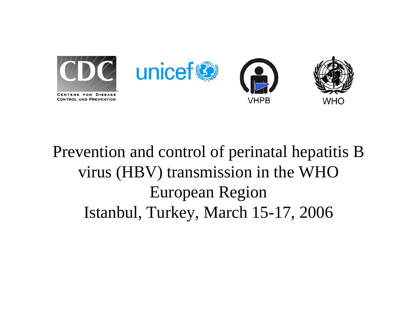

## Prevention and control of perinatal hepatitis B virus (HBV) transmission in the WHO European Region Istanbul, Turkey, March 15-17, 2006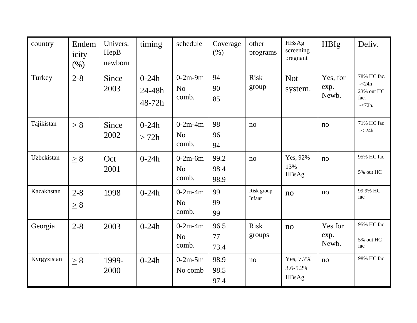| country     | Endem<br>icity<br>(% ) | Univers.<br>HepB<br>newborn | timing                        | schedule                             | Coverage<br>(% )     | other<br>programs     | HBsAg<br>screening<br>pregnant  | <b>HBIg</b>               | Deliv.                                                          |
|-------------|------------------------|-----------------------------|-------------------------------|--------------------------------------|----------------------|-----------------------|---------------------------------|---------------------------|-----------------------------------------------------------------|
| Turkey      | $2 - 8$                | Since<br>2003               | $0 - 24h$<br>24-48h<br>48-72h | $0-2m-9m$<br>N <sub>o</sub><br>comb. | 94<br>90<br>85       | <b>Risk</b><br>group  | <b>Not</b><br>system.           | Yes, for<br>exp.<br>Newb. | 78% HC fac.<br>$-\angle 24h$<br>23% out HC<br>fac.<br>$-<72h$ . |
| Tajikistan  | $\geq 8$               | Since<br>2002               | $0 - 24h$<br>> 72h            | $0-2m-4m$<br>N <sub>o</sub><br>comb. | 98<br>96<br>94       | no                    |                                 | no                        | 71% HC fac<br>$-< 24h$                                          |
| Uzbekistan  | $\geq 8$               | Oct<br>2001                 | $0 - 24h$                     | $0-2m-6m$<br>N <sub>o</sub><br>comb. | 99.2<br>98.4<br>98.9 | no                    | Yes, 92%<br>13%<br>HBsAg+       | no                        | 95% HC fac<br>5% out HC                                         |
| Kazakhstan  | $2 - 8$<br>$\geq 8$    | 1998                        | $0 - 24h$                     | $0-2m-4m$<br>N <sub>o</sub><br>comb. | 99<br>99<br>99       | Risk group<br>Infant  | no                              | no                        | 99.9% HC<br>fac                                                 |
| Georgia     | $2 - 8$                | 2003                        | $0 - 24h$                     | $0-2m-4m$<br>N <sub>o</sub><br>comb. | 96.5<br>77<br>73.4   | <b>Risk</b><br>groups | no                              | Yes for<br>exp.<br>Newb.  | 95% HC fac<br>5% out HC<br>fac                                  |
| Kyrgyzistan | $\geq 8$               | 1999-<br>2000               | $0 - 24h$                     | $0-2m-5m$<br>No comb                 | 98.9<br>98.5<br>97.4 | no                    | Yes, 7.7%<br>3.6-5.2%<br>HBsAg+ | no                        | 98% HC fac                                                      |